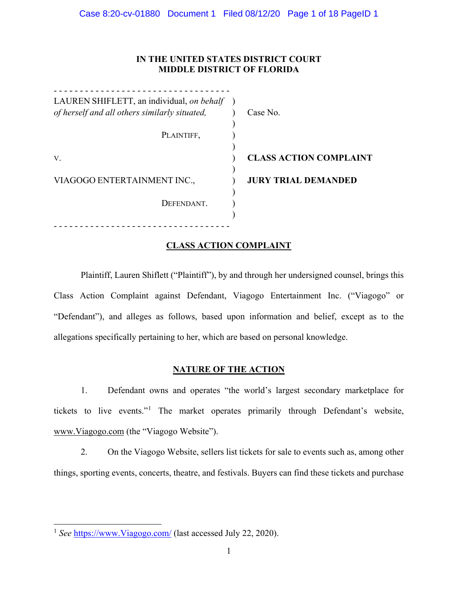# **IN THE UNITED STATES DISTRICT COURT MIDDLE DISTRICT OF FLORIDA**

| LAUREN SHIFLETT, an individual, on behalf     |                               |
|-----------------------------------------------|-------------------------------|
| of herself and all others similarly situated, | Case No.                      |
|                                               |                               |
| PLAINTIFF,                                    |                               |
|                                               |                               |
| V.                                            | <b>CLASS ACTION COMPLAINT</b> |
| VIAGOGO ENTERTAINMENT INC.,                   | <b>JURY TRIAL DEMANDED</b>    |
| DEFENDANT.                                    |                               |
|                                               |                               |
|                                               |                               |

# **CLASS ACTION COMPLAINT**

Plaintiff, Lauren Shiflett ("Plaintiff"), by and through her undersigned counsel, brings this Class Action Complaint against Defendant, Viagogo Entertainment Inc. ("Viagogo" or "Defendant"), and alleges as follows, based upon information and belief, except as to the allegations specifically pertaining to her, which are based on personal knowledge.

# **NATURE OF THE ACTION**

1. Defendant owns and operates "the world's largest secondary marketplace for tickets to live events."[1](#page-0-0) The market operates primarily through Defendant's website, [www.Viagogo.com](http://www.viagogo.com/) (the "Viagogo Website").

2. On the Viagogo Website, sellers list tickets for sale to events such as, among other things, sporting events, concerts, theatre, and festivals. Buyers can find these tickets and purchase

<span id="page-0-0"></span><sup>1</sup> *See* [https://www.Viagogo.com/](https://www.viagogo.com/) (last accessed July 22, 2020).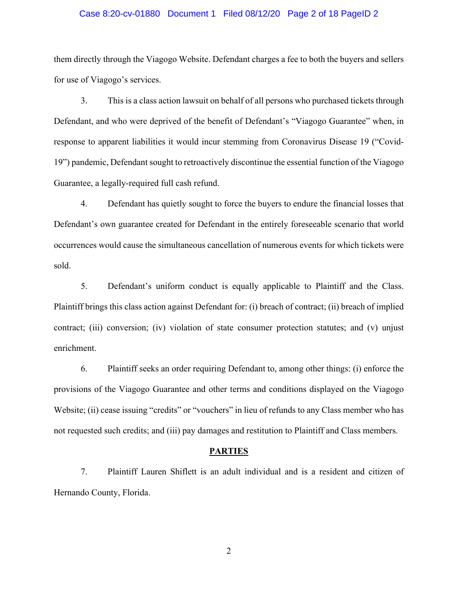#### Case 8:20-cv-01880 Document 1 Filed 08/12/20 Page 2 of 18 PageID 2

them directly through the Viagogo Website. Defendant charges a fee to both the buyers and sellers for use of Viagogo's services.

3. This is a class action lawsuit on behalf of all persons who purchased tickets through Defendant, and who were deprived of the benefit of Defendant's "Viagogo Guarantee" when, in response to apparent liabilities it would incur stemming from Coronavirus Disease 19 ("Covid-19") pandemic, Defendant sought to retroactively discontinue the essential function of the Viagogo Guarantee, a legally-required full cash refund.

4. Defendant has quietly sought to force the buyers to endure the financial losses that Defendant's own guarantee created for Defendant in the entirely foreseeable scenario that world occurrences would cause the simultaneous cancellation of numerous events for which tickets were sold.

5. Defendant's uniform conduct is equally applicable to Plaintiff and the Class. Plaintiff brings this class action against Defendant for: (i) breach of contract; (ii) breach of implied contract; (iii) conversion; (iv) violation of state consumer protection statutes; and (v) unjust enrichment.

6. Plaintiff seeks an order requiring Defendant to, among other things: (i) enforce the provisions of the Viagogo Guarantee and other terms and conditions displayed on the Viagogo Website; (ii) cease issuing "credits" or "vouchers" in lieu of refunds to any Class member who has not requested such credits; and (iii) pay damages and restitution to Plaintiff and Class members.

#### **PARTIES**

7. Plaintiff Lauren Shiflett is an adult individual and is a resident and citizen of Hernando County, Florida.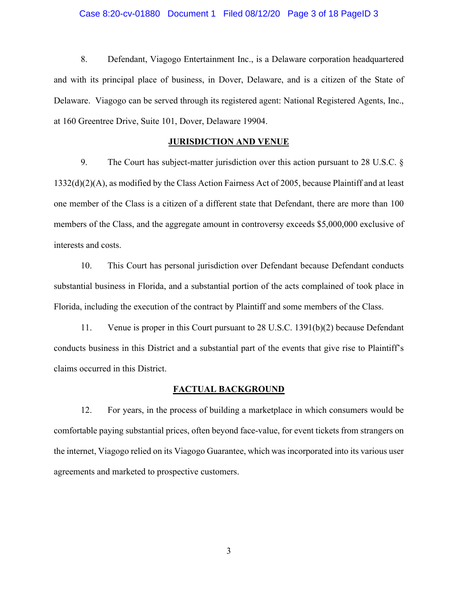#### Case 8:20-cv-01880 Document 1 Filed 08/12/20 Page 3 of 18 PageID 3

8. Defendant, Viagogo Entertainment Inc., is a Delaware corporation headquartered and with its principal place of business, in Dover, Delaware, and is a citizen of the State of Delaware. Viagogo can be served through its registered agent: National Registered Agents, Inc., at 160 Greentree Drive, Suite 101, Dover, Delaware 19904.

#### **JURISDICTION AND VENUE**

9. The Court has subject-matter jurisdiction over this action pursuant to 28 U.S.C. § 1332(d)(2)(A), as modified by the Class Action Fairness Act of 2005, because Plaintiff and at least one member of the Class is a citizen of a different state that Defendant, there are more than 100 members of the Class, and the aggregate amount in controversy exceeds \$5,000,000 exclusive of interests and costs.

10. This Court has personal jurisdiction over Defendant because Defendant conducts substantial business in Florida, and a substantial portion of the acts complained of took place in Florida, including the execution of the contract by Plaintiff and some members of the Class.

11. Venue is proper in this Court pursuant to 28 U.S.C. 1391(b)(2) because Defendant conducts business in this District and a substantial part of the events that give rise to Plaintiff's claims occurred in this District.

#### **FACTUAL BACKGROUND**

12. For years, in the process of building a marketplace in which consumers would be comfortable paying substantial prices, often beyond face-value, for event tickets from strangers on the internet, Viagogo relied on its Viagogo Guarantee, which was incorporated into its various user agreements and marketed to prospective customers.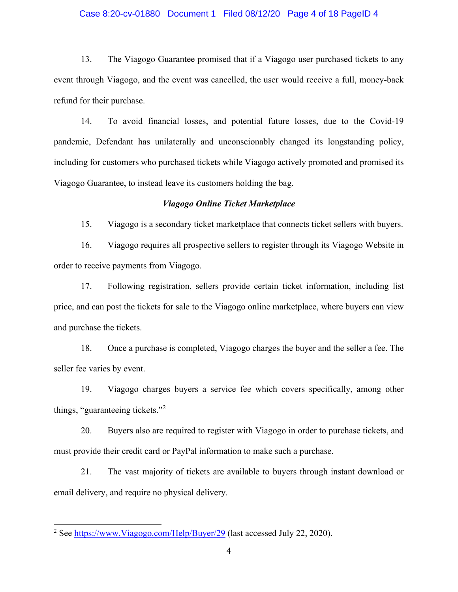#### Case 8:20-cv-01880 Document 1 Filed 08/12/20 Page 4 of 18 PageID 4

13. The Viagogo Guarantee promised that if a Viagogo user purchased tickets to any event through Viagogo, and the event was cancelled, the user would receive a full, money-back refund for their purchase.

14. To avoid financial losses, and potential future losses, due to the Covid-19 pandemic, Defendant has unilaterally and unconscionably changed its longstanding policy, including for customers who purchased tickets while Viagogo actively promoted and promised its Viagogo Guarantee, to instead leave its customers holding the bag.

#### *Viagogo Online Ticket Marketplace*

15. Viagogo is a secondary ticket marketplace that connects ticket sellers with buyers.

16. Viagogo requires all prospective sellers to register through its Viagogo Website in order to receive payments from Viagogo.

17. Following registration, sellers provide certain ticket information, including list price, and can post the tickets for sale to the Viagogo online marketplace, where buyers can view and purchase the tickets.

18. Once a purchase is completed, Viagogo charges the buyer and the seller a fee. The seller fee varies by event.

19. Viagogo charges buyers a service fee which covers specifically, among other things, "guaranteeing tickets."[2](#page-3-0)

20. Buyers also are required to register with Viagogo in order to purchase tickets, and must provide their credit card or PayPal information to make such a purchase.

21. The vast majority of tickets are available to buyers through instant download or email delivery, and require no physical delivery.

<span id="page-3-0"></span><sup>&</sup>lt;sup>2</sup> See [https://www.Viagogo.com/Help/Buyer/29](https://www.viagogo.com/Help/Buyer/29) (last accessed July 22, 2020).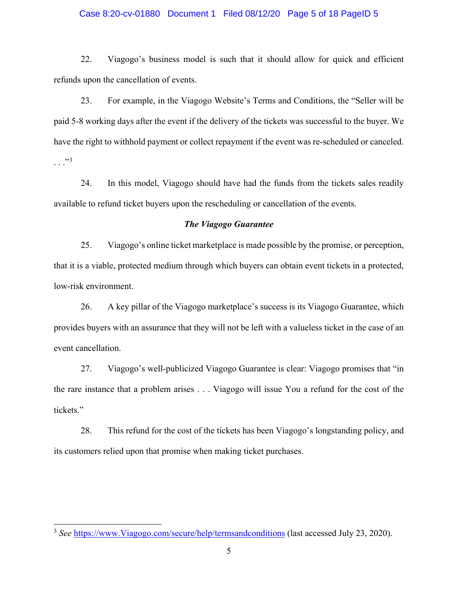### Case 8:20-cv-01880 Document 1 Filed 08/12/20 Page 5 of 18 PageID 5

22. Viagogo's business model is such that it should allow for quick and efficient refunds upon the cancellation of events.

23. For example, in the Viagogo Website's Terms and Conditions, the "Seller will be paid 5-8 working days after the event if the delivery of the tickets was successful to the buyer. We have the right to withhold payment or collect repayment if the event was re-scheduled or canceled.  $\ldots$  . . . [3](#page-4-0)

24. In this model, Viagogo should have had the funds from the tickets sales readily available to refund ticket buyers upon the rescheduling or cancellation of the events.

## *The Viagogo Guarantee*

25. Viagogo's online ticket marketplace is made possible by the promise, or perception, that it is a viable, protected medium through which buyers can obtain event tickets in a protected, low-risk environment.

26. A key pillar of the Viagogo marketplace's success is its Viagogo Guarantee, which provides buyers with an assurance that they will not be left with a valueless ticket in the case of an event cancellation.

27. Viagogo's well-publicized Viagogo Guarantee is clear: Viagogo promises that "in the rare instance that a problem arises . . . Viagogo will issue You a refund for the cost of the tickets."

28. This refund for the cost of the tickets has been Viagogo's longstanding policy, and its customers relied upon that promise when making ticket purchases.

<span id="page-4-0"></span><sup>3</sup> *See* [https://www.Viagogo.com/secure/help/termsandconditions](https://www.viagogo.com/secure/help/termsandconditions) (last accessed July 23, 2020).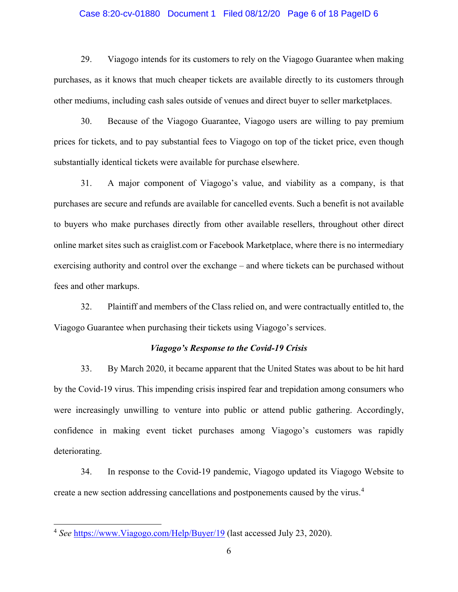#### Case 8:20-cv-01880 Document 1 Filed 08/12/20 Page 6 of 18 PageID 6

29. Viagogo intends for its customers to rely on the Viagogo Guarantee when making purchases, as it knows that much cheaper tickets are available directly to its customers through other mediums, including cash sales outside of venues and direct buyer to seller marketplaces.

30. Because of the Viagogo Guarantee, Viagogo users are willing to pay premium prices for tickets, and to pay substantial fees to Viagogo on top of the ticket price, even though substantially identical tickets were available for purchase elsewhere.

31. A major component of Viagogo's value, and viability as a company, is that purchases are secure and refunds are available for cancelled events. Such a benefit is not available to buyers who make purchases directly from other available resellers, throughout other direct online market sites such as craiglist.com or Facebook Marketplace, where there is no intermediary exercising authority and control over the exchange – and where tickets can be purchased without fees and other markups.

32. Plaintiff and members of the Class relied on, and were contractually entitled to, the Viagogo Guarantee when purchasing their tickets using Viagogo's services.

### *Viagogo's Response to the Covid-19 Crisis*

33. By March 2020, it became apparent that the United States was about to be hit hard by the Covid-19 virus. This impending crisis inspired fear and trepidation among consumers who were increasingly unwilling to venture into public or attend public gathering. Accordingly, confidence in making event ticket purchases among Viagogo's customers was rapidly deteriorating.

34. In response to the Covid-19 pandemic, Viagogo updated its Viagogo Website to create a new section addressing cancellations and postponements caused by the virus.<sup>[4](#page-5-0)</sup>

<span id="page-5-0"></span><sup>4</sup> *See* [https://www.Viagogo.com/Help/Buyer/19](https://www.viagogo.com/Help/Buyer/19) (last accessed July 23, 2020).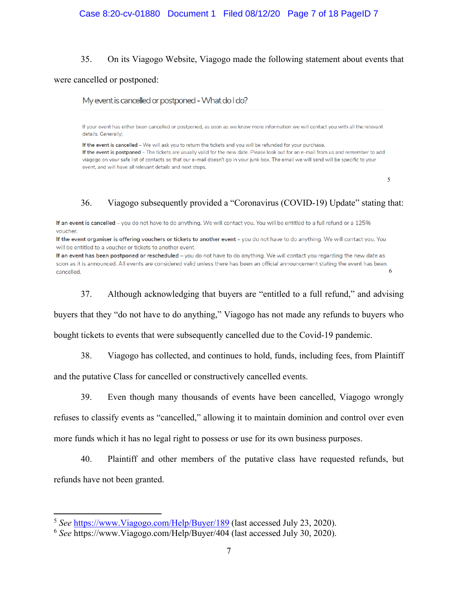### Case 8:20-cv-01880 Document 1 Filed 08/12/20 Page 7 of 18 PageID 7

#### 35. On its Viagogo Website, Viagogo made the following statement about events that

#### were cancelled or postponed:

My event is cancelled or postponed - What do I do?

If your event has either been cancelled or postponed, as soon as we know more information we will contact you with all the relevant details. Generally;

If the event is cancelled - We will ask you to return the tickets and you will be refunded for your purchase. If the event is postponed - The tickets are usually valid for the new date. Please look out for an e-mail from us and remember to add viagogo on your safe list of contacts so that our e-mail doesn't go in your junk box. The email we will send will be specific to your event, and will have all relevant details and next steps.

[5](#page-6-0)

### 36. Viagogo subsequently provided a "Coronavirus (COVID-19) Update" stating that:

If an event is cancelled - you do not have to do anything. We will contact you. You will be entitled to a full refund or a 125% voucher.

If the event organiser is offering vouchers or tickets to another event - you do not have to do anything. We will contact you. You will be entitled to a voucher or tickets to another event.

If an event has been postponed or rescheduled - you do not have to do anything. We will contact you regarding the new date as soon as it is announced. All events are considered valid unless there has been an official announcement stating the event has been [6](#page-6-1) cancelled.

37. Although acknowledging that buyers are "entitled to a full refund," and advising

buyers that they "do not have to do anything," Viagogo has not made any refunds to buyers who

bought tickets to events that were subsequently cancelled due to the Covid-19 pandemic.

38. Viagogo has collected, and continues to hold, funds, including fees, from Plaintiff

and the putative Class for cancelled or constructively cancelled events.

39. Even though many thousands of events have been cancelled, Viagogo wrongly refuses to classify events as "cancelled," allowing it to maintain dominion and control over even more funds which it has no legal right to possess or use for its own business purposes.

40. Plaintiff and other members of the putative class have requested refunds, but refunds have not been granted.

<span id="page-6-0"></span><sup>5</sup> *See* [https://www.Viagogo.com/Help/Buyer/189](https://www.viagogo.com/Help/Buyer/189) (last accessed July 23, 2020).

<span id="page-6-1"></span><sup>6</sup> *See* https://www.Viagogo.com/Help/Buyer/404 (last accessed July 30, 2020).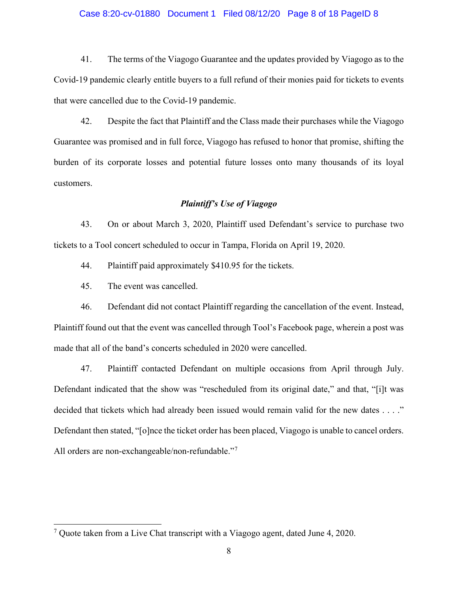#### Case 8:20-cv-01880 Document 1 Filed 08/12/20 Page 8 of 18 PageID 8

41. The terms of the Viagogo Guarantee and the updates provided by Viagogo as to the Covid-19 pandemic clearly entitle buyers to a full refund of their monies paid for tickets to events that were cancelled due to the Covid-19 pandemic.

42. Despite the fact that Plaintiff and the Class made their purchases while the Viagogo Guarantee was promised and in full force, Viagogo has refused to honor that promise, shifting the burden of its corporate losses and potential future losses onto many thousands of its loyal customers.

## *Plaintiff's Use of Viagogo*

43. On or about March 3, 2020, Plaintiff used Defendant's service to purchase two tickets to a Tool concert scheduled to occur in Tampa, Florida on April 19, 2020.

44. Plaintiff paid approximately \$410.95 for the tickets.

45. The event was cancelled.

46. Defendant did not contact Plaintiff regarding the cancellation of the event. Instead, Plaintiff found out that the event was cancelled through Tool's Facebook page, wherein a post was made that all of the band's concerts scheduled in 2020 were cancelled.

47. Plaintiff contacted Defendant on multiple occasions from April through July. Defendant indicated that the show was "rescheduled from its original date," and that, "[i]t was decided that tickets which had already been issued would remain valid for the new dates . . . ." Defendant then stated, "[o]nce the ticket order has been placed, Viagogo is unable to cancel orders. All orders are non-exchangeable/non-refundable."[7](#page-7-0)

<span id="page-7-0"></span><sup>7</sup> Quote taken from a Live Chat transcript with a Viagogo agent, dated June 4, 2020.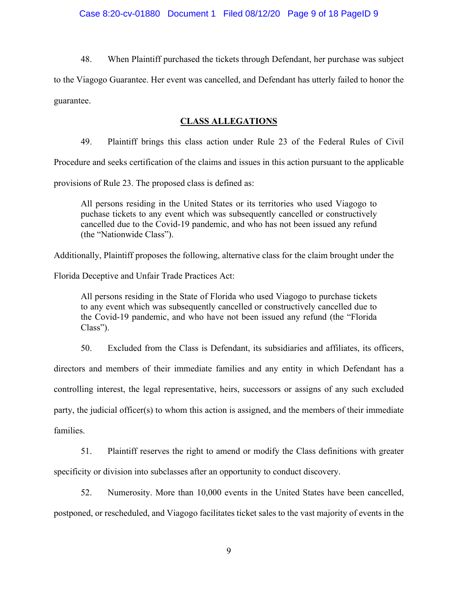48. When Plaintiff purchased the tickets through Defendant, her purchase was subject

to the Viagogo Guarantee. Her event was cancelled, and Defendant has utterly failed to honor the guarantee.

# **CLASS ALLEGATIONS**

49. Plaintiff brings this class action under Rule 23 of the Federal Rules of Civil

Procedure and seeks certification of the claims and issues in this action pursuant to the applicable

provisions of Rule 23. The proposed class is defined as:

All persons residing in the United States or its territories who used Viagogo to puchase tickets to any event which was subsequently cancelled or constructively cancelled due to the Covid-19 pandemic, and who has not been issued any refund (the "Nationwide Class").

Additionally, Plaintiff proposes the following, alternative class for the claim brought under the

Florida Deceptive and Unfair Trade Practices Act:

All persons residing in the State of Florida who used Viagogo to purchase tickets to any event which was subsequently cancelled or constructively cancelled due to the Covid-19 pandemic, and who have not been issued any refund (the "Florida Class").

50. Excluded from the Class is Defendant, its subsidiaries and affiliates, its officers,

directors and members of their immediate families and any entity in which Defendant has a controlling interest, the legal representative, heirs, successors or assigns of any such excluded party, the judicial officer(s) to whom this action is assigned, and the members of their immediate families.

51. Plaintiff reserves the right to amend or modify the Class definitions with greater specificity or division into subclasses after an opportunity to conduct discovery.

52. Numerosity. More than 10,000 events in the United States have been cancelled, postponed, or rescheduled, and Viagogo facilitates ticket sales to the vast majority of events in the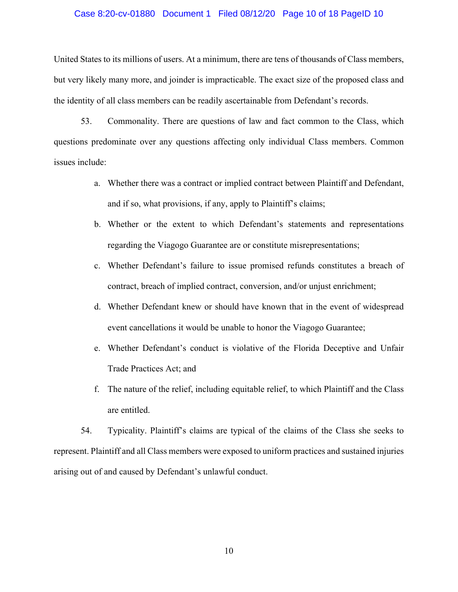#### Case 8:20-cv-01880 Document 1 Filed 08/12/20 Page 10 of 18 PageID 10

United States to its millions of users. At a minimum, there are tens of thousands of Class members, but very likely many more, and joinder is impracticable. The exact size of the proposed class and the identity of all class members can be readily ascertainable from Defendant's records.

53. Commonality. There are questions of law and fact common to the Class, which questions predominate over any questions affecting only individual Class members. Common issues include:

- a. Whether there was a contract or implied contract between Plaintiff and Defendant, and if so, what provisions, if any, apply to Plaintiff's claims;
- b. Whether or the extent to which Defendant's statements and representations regarding the Viagogo Guarantee are or constitute misrepresentations;
- c. Whether Defendant's failure to issue promised refunds constitutes a breach of contract, breach of implied contract, conversion, and/or unjust enrichment;
- d. Whether Defendant knew or should have known that in the event of widespread event cancellations it would be unable to honor the Viagogo Guarantee;
- e. Whether Defendant's conduct is violative of the Florida Deceptive and Unfair Trade Practices Act; and
- f. The nature of the relief, including equitable relief, to which Plaintiff and the Class are entitled.

54. Typicality. Plaintiff's claims are typical of the claims of the Class she seeks to represent. Plaintiff and all Class members were exposed to uniform practices and sustained injuries arising out of and caused by Defendant's unlawful conduct.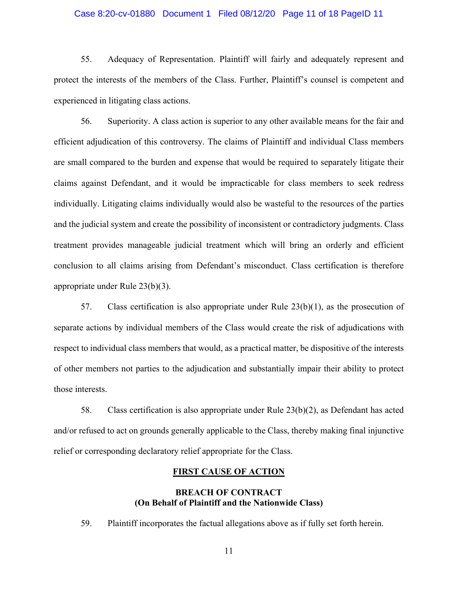### Case 8:20-cv-01880 Document 1 Filed 08/12/20 Page 11 of 18 PageID 11

55. Adequacy of Representation. Plaintiff will fairly and adequately represent and protect the interests of the members of the Class. Further, Plaintiff's counsel is competent and experienced in litigating class actions.

56. Superiority. A class action is superior to any other available means for the fair and efficient adjudication of this controversy. The claims of Plaintiff and individual Class members are small compared to the burden and expense that would be required to separately litigate their claims against Defendant, and it would be impracticable for class members to seek redress individually. Litigating claims individually would also be wasteful to the resources of the parties and the judicial system and create the possibility of inconsistent or contradictory judgments. Class treatment provides manageable judicial treatment which will bring an orderly and efficient conclusion to all claims arising from Defendant's misconduct. Class certification is therefore appropriate under Rule 23(b)(3).

57. Class certification is also appropriate under Rule 23(b)(1), as the prosecution of separate actions by individual members of the Class would create the risk of adjudications with respect to individual class members that would, as a practical matter, be dispositive of the interests of other members not parties to the adjudication and substantially impair their ability to protect those interests.

58. Class certification is also appropriate under Rule 23(b)(2), as Defendant has acted and/or refused to act on grounds generally applicable to the Class, thereby making final injunctive relief or corresponding declaratory relief appropriate for the Class.

#### **FIRST CAUSE OF ACTION**

## **BREACH OF CONTRACT (On Behalf of Plaintiff and the Nationwide Class)**

59. Plaintiff incorporates the factual allegations above as if fully set forth herein.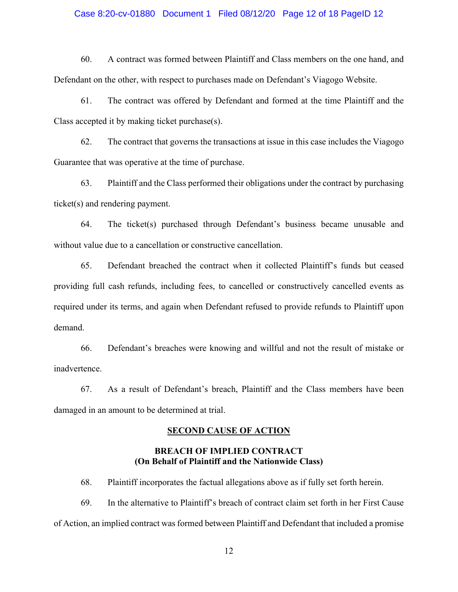#### Case 8:20-cv-01880 Document 1 Filed 08/12/20 Page 12 of 18 PageID 12

60. A contract was formed between Plaintiff and Class members on the one hand, and Defendant on the other, with respect to purchases made on Defendant's Viagogo Website.

61. The contract was offered by Defendant and formed at the time Plaintiff and the Class accepted it by making ticket purchase(s).

62. The contract that governs the transactions at issue in this case includes the Viagogo Guarantee that was operative at the time of purchase.

63. Plaintiff and the Class performed their obligations under the contract by purchasing ticket(s) and rendering payment.

64. The ticket(s) purchased through Defendant's business became unusable and without value due to a cancellation or constructive cancellation.

65. Defendant breached the contract when it collected Plaintiff's funds but ceased providing full cash refunds, including fees, to cancelled or constructively cancelled events as required under its terms, and again when Defendant refused to provide refunds to Plaintiff upon demand.

66. Defendant's breaches were knowing and willful and not the result of mistake or inadvertence.

67. As a result of Defendant's breach, Plaintiff and the Class members have been damaged in an amount to be determined at trial.

#### **SECOND CAUSE OF ACTION**

# **BREACH OF IMPLIED CONTRACT (On Behalf of Plaintiff and the Nationwide Class)**

68. Plaintiff incorporates the factual allegations above as if fully set forth herein.

69. In the alternative to Plaintiff's breach of contract claim set forth in her First Cause of Action, an implied contract was formed between Plaintiff and Defendant that included a promise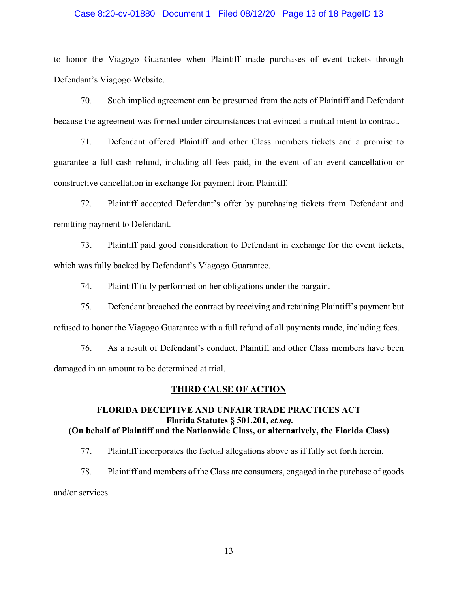### Case 8:20-cv-01880 Document 1 Filed 08/12/20 Page 13 of 18 PageID 13

to honor the Viagogo Guarantee when Plaintiff made purchases of event tickets through Defendant's Viagogo Website.

70. Such implied agreement can be presumed from the acts of Plaintiff and Defendant because the agreement was formed under circumstances that evinced a mutual intent to contract.

71. Defendant offered Plaintiff and other Class members tickets and a promise to guarantee a full cash refund, including all fees paid, in the event of an event cancellation or constructive cancellation in exchange for payment from Plaintiff.

72. Plaintiff accepted Defendant's offer by purchasing tickets from Defendant and remitting payment to Defendant.

73. Plaintiff paid good consideration to Defendant in exchange for the event tickets, which was fully backed by Defendant's Viagogo Guarantee.

74. Plaintiff fully performed on her obligations under the bargain.

75. Defendant breached the contract by receiving and retaining Plaintiff's payment but refused to honor the Viagogo Guarantee with a full refund of all payments made, including fees.

76. As a result of Defendant's conduct, Plaintiff and other Class members have been damaged in an amount to be determined at trial.

#### **THIRD CAUSE OF ACTION**

# **FLORIDA DECEPTIVE AND UNFAIR TRADE PRACTICES ACT Florida Statutes § 501.201,** *et.seq.* **(On behalf of Plaintiff and the Nationwide Class, or alternatively, the Florida Class)**

77. Plaintiff incorporates the factual allegations above as if fully set forth herein.

78. Plaintiff and members of the Class are consumers, engaged in the purchase of goods and/or services.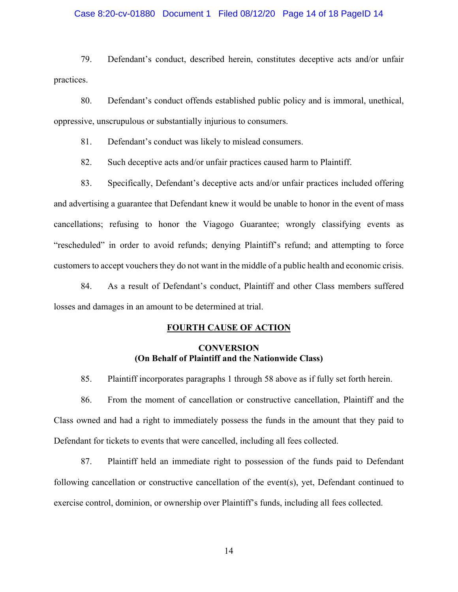### Case 8:20-cv-01880 Document 1 Filed 08/12/20 Page 14 of 18 PageID 14

79. Defendant's conduct, described herein, constitutes deceptive acts and/or unfair practices.

80. Defendant's conduct offends established public policy and is immoral, unethical, oppressive, unscrupulous or substantially injurious to consumers.

81. Defendant's conduct was likely to mislead consumers.

82. Such deceptive acts and/or unfair practices caused harm to Plaintiff.

83. Specifically, Defendant's deceptive acts and/or unfair practices included offering and advertising a guarantee that Defendant knew it would be unable to honor in the event of mass cancellations; refusing to honor the Viagogo Guarantee; wrongly classifying events as "rescheduled" in order to avoid refunds; denying Plaintiff's refund; and attempting to force customers to accept vouchers they do not want in the middle of a public health and economic crisis.

84. As a result of Defendant's conduct, Plaintiff and other Class members suffered losses and damages in an amount to be determined at trial.

### **FOURTH CAUSE OF ACTION**

# **CONVERSION (On Behalf of Plaintiff and the Nationwide Class)**

85. Plaintiff incorporates paragraphs 1 through 58 above as if fully set forth herein.

86. From the moment of cancellation or constructive cancellation, Plaintiff and the Class owned and had a right to immediately possess the funds in the amount that they paid to Defendant for tickets to events that were cancelled, including all fees collected.

87. Plaintiff held an immediate right to possession of the funds paid to Defendant following cancellation or constructive cancellation of the event(s), yet, Defendant continued to exercise control, dominion, or ownership over Plaintiff's funds, including all fees collected.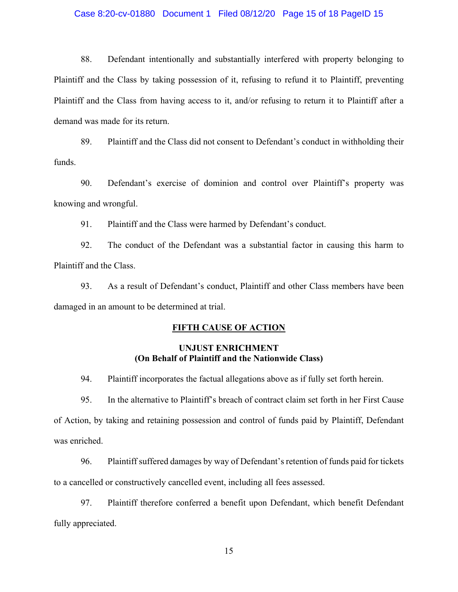#### Case 8:20-cv-01880 Document 1 Filed 08/12/20 Page 15 of 18 PageID 15

88. Defendant intentionally and substantially interfered with property belonging to Plaintiff and the Class by taking possession of it, refusing to refund it to Plaintiff, preventing Plaintiff and the Class from having access to it, and/or refusing to return it to Plaintiff after a demand was made for its return.

89. Plaintiff and the Class did not consent to Defendant's conduct in withholding their funds.

90. Defendant's exercise of dominion and control over Plaintiff's property was knowing and wrongful.

91. Plaintiff and the Class were harmed by Defendant's conduct.

92. The conduct of the Defendant was a substantial factor in causing this harm to Plaintiff and the Class.

93. As a result of Defendant's conduct, Plaintiff and other Class members have been damaged in an amount to be determined at trial.

### **FIFTH CAUSE OF ACTION**

## **UNJUST ENRICHMENT (On Behalf of Plaintiff and the Nationwide Class)**

94. Plaintiff incorporates the factual allegations above as if fully set forth herein.

95. In the alternative to Plaintiff's breach of contract claim set forth in her First Cause of Action, by taking and retaining possession and control of funds paid by Plaintiff, Defendant was enriched.

96. Plaintiff suffered damages by way of Defendant's retention of funds paid for tickets to a cancelled or constructively cancelled event, including all fees assessed.

97. Plaintiff therefore conferred a benefit upon Defendant, which benefit Defendant fully appreciated.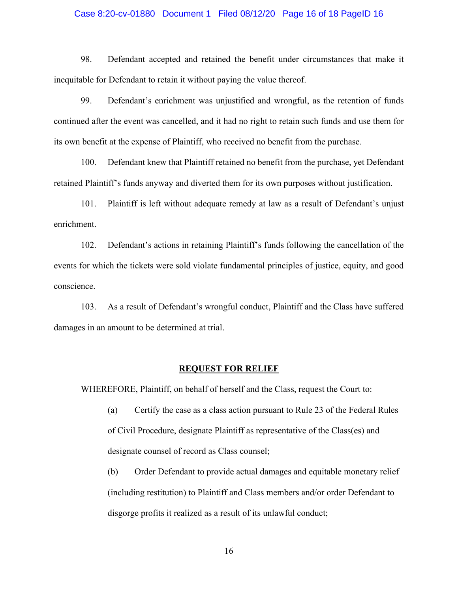#### Case 8:20-cv-01880 Document 1 Filed 08/12/20 Page 16 of 18 PageID 16

98. Defendant accepted and retained the benefit under circumstances that make it inequitable for Defendant to retain it without paying the value thereof.

99. Defendant's enrichment was unjustified and wrongful, as the retention of funds continued after the event was cancelled, and it had no right to retain such funds and use them for its own benefit at the expense of Plaintiff, who received no benefit from the purchase.

100. Defendant knew that Plaintiff retained no benefit from the purchase, yet Defendant retained Plaintiff's funds anyway and diverted them for its own purposes without justification.

101. Plaintiff is left without adequate remedy at law as a result of Defendant's unjust enrichment.

102. Defendant's actions in retaining Plaintiff's funds following the cancellation of the events for which the tickets were sold violate fundamental principles of justice, equity, and good conscience.

103. As a result of Defendant's wrongful conduct, Plaintiff and the Class have suffered damages in an amount to be determined at trial.

#### **REQUEST FOR RELIEF**

WHEREFORE, Plaintiff, on behalf of herself and the Class, request the Court to:

- (a) Certify the case as a class action pursuant to Rule 23 of the Federal Rules of Civil Procedure, designate Plaintiff as representative of the Class(es) and designate counsel of record as Class counsel;
- (b) Order Defendant to provide actual damages and equitable monetary relief (including restitution) to Plaintiff and Class members and/or order Defendant to disgorge profits it realized as a result of its unlawful conduct;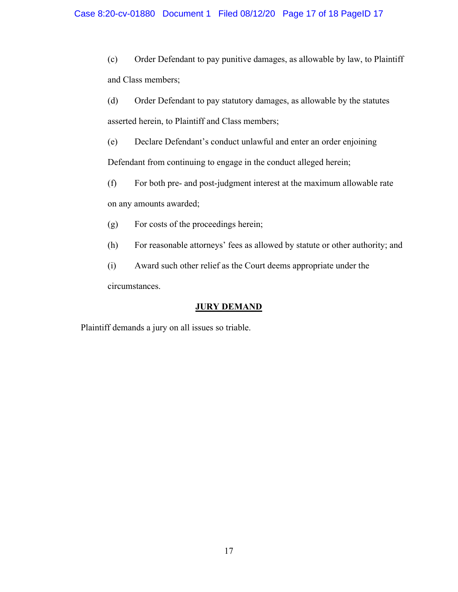## Case 8:20-cv-01880 Document 1 Filed 08/12/20 Page 17 of 18 PageID 17

(c) Order Defendant to pay punitive damages, as allowable by law, to Plaintiff and Class members;

- (d) Order Defendant to pay statutory damages, as allowable by the statutes asserted herein, to Plaintiff and Class members;
- (e) Declare Defendant's conduct unlawful and enter an order enjoining

Defendant from continuing to engage in the conduct alleged herein;

- (f) For both pre- and post-judgment interest at the maximum allowable rate on any amounts awarded;
- (g) For costs of the proceedings herein;
- (h) For reasonable attorneys' fees as allowed by statute or other authority; and

(i) Award such other relief as the Court deems appropriate under the circumstances.

# **JURY DEMAND**

Plaintiff demands a jury on all issues so triable.